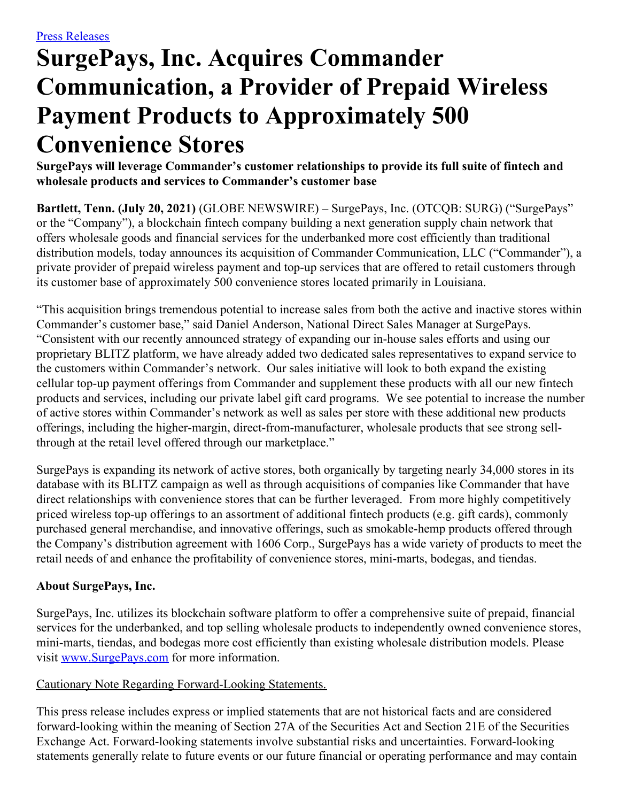## **SurgePays, Inc. Acquires Commander Communication, a Provider of Prepaid Wireless Payment Products to Approximately 500 Convenience Stores**

**SurgePays will leverage Commander's customer relationships to provide its full suite of fintech and wholesale products and services to Commander's customer base**

**Bartlett, Tenn. (July 20, 2021)** (GLOBE NEWSWIRE) – SurgePays, Inc. (OTCQB: SURG) ("SurgePays" or the "Company"), a blockchain fintech company building a next generation supply chain network that offers wholesale goods and financial services for the underbanked more cost efficiently than traditional distribution models, today announces its acquisition of Commander Communication, LLC ("Commander"), a private provider of prepaid wireless payment and top-up services that are offered to retail customers through its customer base of approximately 500 convenience stores located primarily in Louisiana.

"This acquisition brings tremendous potential to increase sales from both the active and inactive stores within Commander's customer base," said Daniel Anderson, National Direct Sales Manager at SurgePays. "Consistent with our recently announced strategy of expanding our in-house sales efforts and using our proprietary BLITZ platform, we have already added two dedicated sales representatives to expand service to the customers within Commander's network. Our sales initiative will look to both expand the existing cellular top-up payment offerings from Commander and supplement these products with all our new fintech products and services, including our private label gift card programs. We see potential to increase the number of active stores within Commander's network as well as sales per store with these additional new products offerings, including the higher-margin, direct-from-manufacturer, wholesale products that see strong sellthrough at the retail level offered through our marketplace."

SurgePays is expanding its network of active stores, both organically by targeting nearly 34,000 stores in its database with its BLITZ campaign as well as through acquisitions of companies like Commander that have direct relationships with convenience stores that can be further leveraged. From more highly competitively priced wireless top-up offerings to an assortment of additional fintech products (e.g. gift cards), commonly purchased general merchandise, and innovative offerings, such as smokable-hemp products offered through the Company's distribution agreement with 1606 Corp., SurgePays has a wide variety of products to meet the retail needs of and enhance the profitability of convenience stores, mini-marts, bodegas, and tiendas.

## **About SurgePays, Inc.**

SurgePays, Inc. utilizes its blockchain software platform to offer a comprehensive suite of prepaid, financial services for the underbanked, and top selling wholesale products to independently owned convenience stores, mini-marts, tiendas, and bodegas more cost efficiently than existing wholesale distribution models. Please visit [www.SurgePays.com](http://www.surgepays.com/) for more information.

## Cautionary Note Regarding Forward-Looking Statements.

This press release includes express or implied statements that are not historical facts and are considered forward-looking within the meaning of Section 27A of the Securities Act and Section 21E of the Securities Exchange Act. Forward-looking statements involve substantial risks and uncertainties. Forward-looking statements generally relate to future events or our future financial or operating performance and may contain